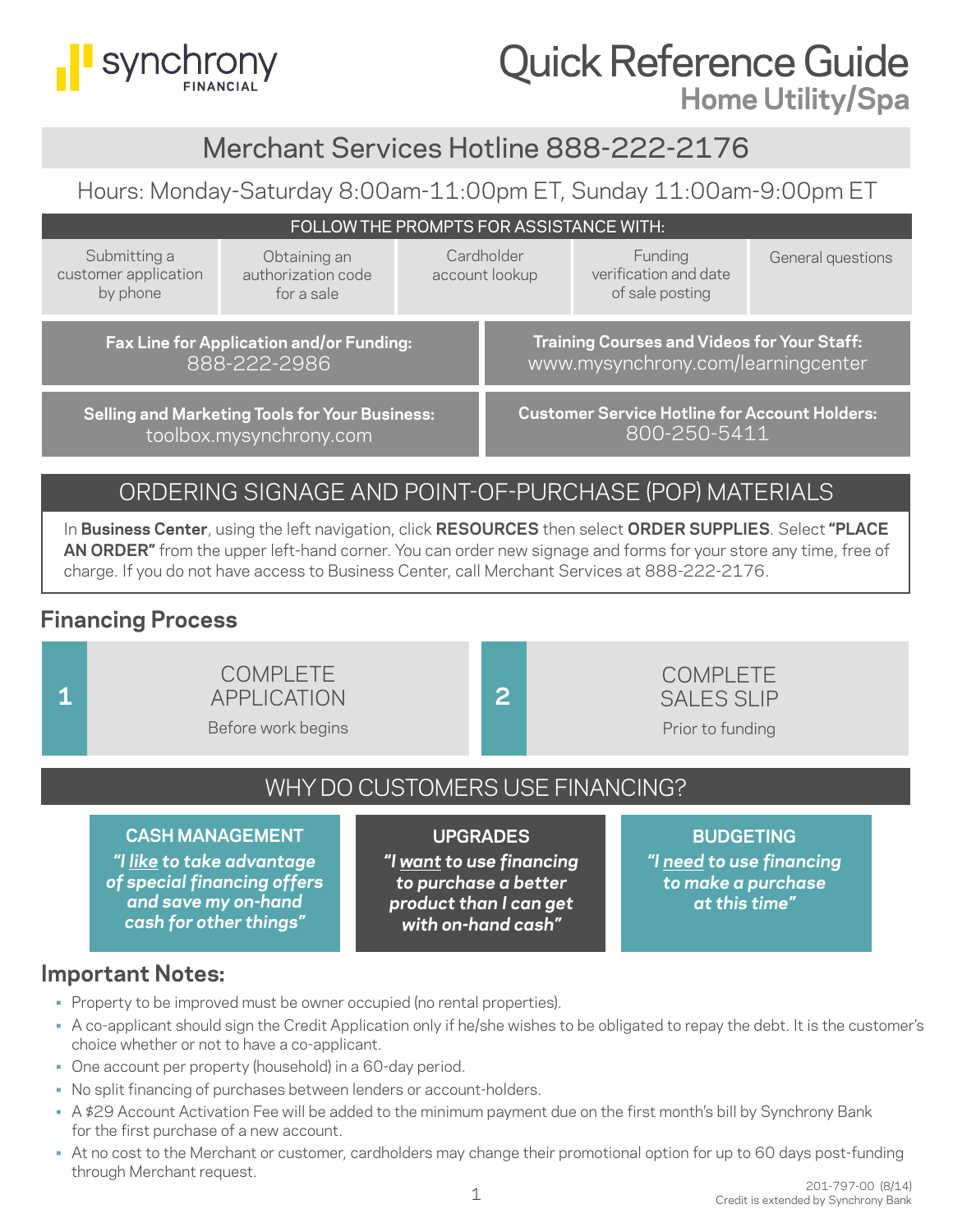

# Quick Reference Guide **Home Utility/Spa**

# Merchant Services Hotline 888-222-2176

# Hours: Monday-Saturday 8:00am-11:00pm ET, Sunday 11:00am-9:00pm ET

|                                                  | FOLLOW THE PROMPTS FOR ASSISTANCE WITH:                                          |                              |                                                                                          |                   |
|--------------------------------------------------|----------------------------------------------------------------------------------|------------------------------|------------------------------------------------------------------------------------------|-------------------|
| Submitting a<br>customer application<br>by phone | Obtaining an<br>authorization code<br>for a sale                                 | Cardholder<br>account lookup | Funding<br>verification and date<br>of sale posting                                      | General questions |
|                                                  | Fax Line for Application and/or Funding:<br>888-222-2986                         |                              | <b>Training Courses and Videos for Your Staff:</b><br>www.mysynchrony.com/learningcenter |                   |
|                                                  | <b>Selling and Marketing Tools for Your Business:</b><br>toolbox.mysynchrony.com |                              | <b>Customer Service Hotline for Account Holders:</b><br>800-250-5411                     |                   |

# ORDERING SIGNAGE AND POINT-OF-PURCHASE (POP) MATERIALS

In **Business Center**, using the left navigation, click **RESOURCES** then select **ORDER SUPPLIES**. Select **"PLACE AN ORDER"** from the upper left-hand corner. You can order new signage and forms for your store any time, free of charge. If you do not have access to Business Center, call Merchant Services at 888-222-2176.

## **Financing Process**

## COMPLETE APPLICATION **1 2**

Before work begins



WHY DO CUSTOMERS USE FINANCING?

## **CASH MANAGEMENT**

*"I like to take advantage of special financing offers and save my on-hand cash for other things"*

### **UPGRADES**

*"I want to use financing to purchase a better product than I can get with on-hand cash"*

### **BUDGETING**

*"I need to use financing to make a purchase at this time"*

## **Important Notes:**

- Property to be improved must be owner occupied (no rental properties).
- A co-applicant should sign the Credit Application only if he/she wishes to be obligated to repay the debt. It is the customer's choice whether or not to have a co-applicant.
- One account per property (household) in a 60-day period.
- No split financing of purchases between lenders or account-holders.
- A \$29 Account Activation Fee will be added to the minimum payment due on the first month's bill by Synchrony Bank for the first purchase of a new account.
- At no cost to the Merchant or customer, cardholders may change their promotional option for up to 60 days post-funding through Merchant request.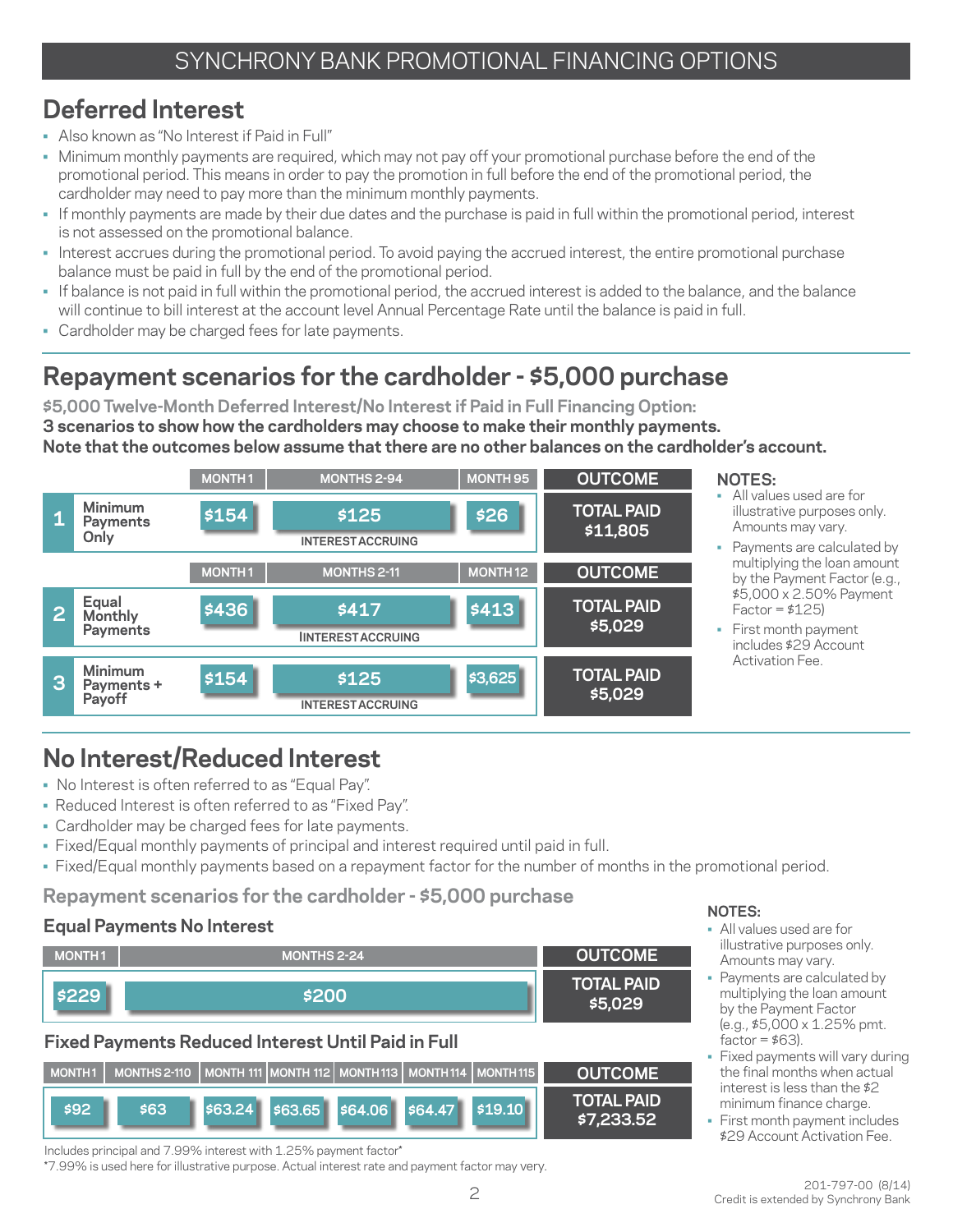# **Deferred Interest**

- Also known as "No Interest if Paid in Full"
- Minimum monthly payments are required, which may not pay off your promotional purchase before the end of the promotional period. This means in order to pay the promotion in full before the end of the promotional period, the cardholder may need to pay more than the minimum monthly payments.
- If monthly payments are made by their due dates and the purchase is paid in full within the promotional period, interest is not assessed on the promotional balance.
- Interest accrues during the promotional period. To avoid paying the accrued interest, the entire promotional purchase balance must be paid in full by the end of the promotional period.
- If balance is not paid in full within the promotional period, the accrued interest is added to the balance, and the balance will continue to bill interest at the account level Annual Percentage Rate until the balance is paid in full.
- Cardholder may be charged fees for late payments.

# **Repayment scenarios for the cardholder - \$5,000 purchase**

**\$5,000 Twelve-Month Deferred Interest/No Interest if Paid in Full Financing Option: 3 scenarios to show how the cardholders may choose to make their monthly payments. Note that the outcomes below assume that there are no other balances on the cardholder's account.** 



# **No Interest/Reduced Interest**

- No Interest is often referred to as "Equal Pay".
- Reduced Interest is often referred to as "Fixed Pay".
- Cardholder may be charged fees for late payments.
- Fixed/Equal monthly payments of principal and interest required until paid in full.
- Fixed/Equal monthly payments based on a repayment factor for the number of months in the promotional period.

## **Repayment scenarios for the cardholder - \$5,000 purchase**

### **Equal Payments No Interest**

| <b>MONTH1</b> | <b>MONTHS 2-24</b> | <b>OUTCOME</b>               |
|---------------|--------------------|------------------------------|
| \$229         | \$200              | <b>TOTAL PAID</b><br>\$5.029 |

## **Fixed Payments Reduced Interest Until Paid in Full**



**NOTES:**

- All values used are for illustrative purposes only. Amounts may vary.
- Payments are calculated by multiplying the loan amount by the Payment Factor (e.g., \$5,000 x 1.25% pmt.  $factor = $63$ ).
- Fixed payments will vary during the final months when actual interest is less than the \$2 minimum finance charge.
- First month payment includes \$29 Account Activation Fee.

Includes principal and 7.99% interest with 1.25% payment factor\*

\*7.99% is used here for illustrative purpose. Actual interest rate and payment factor may very.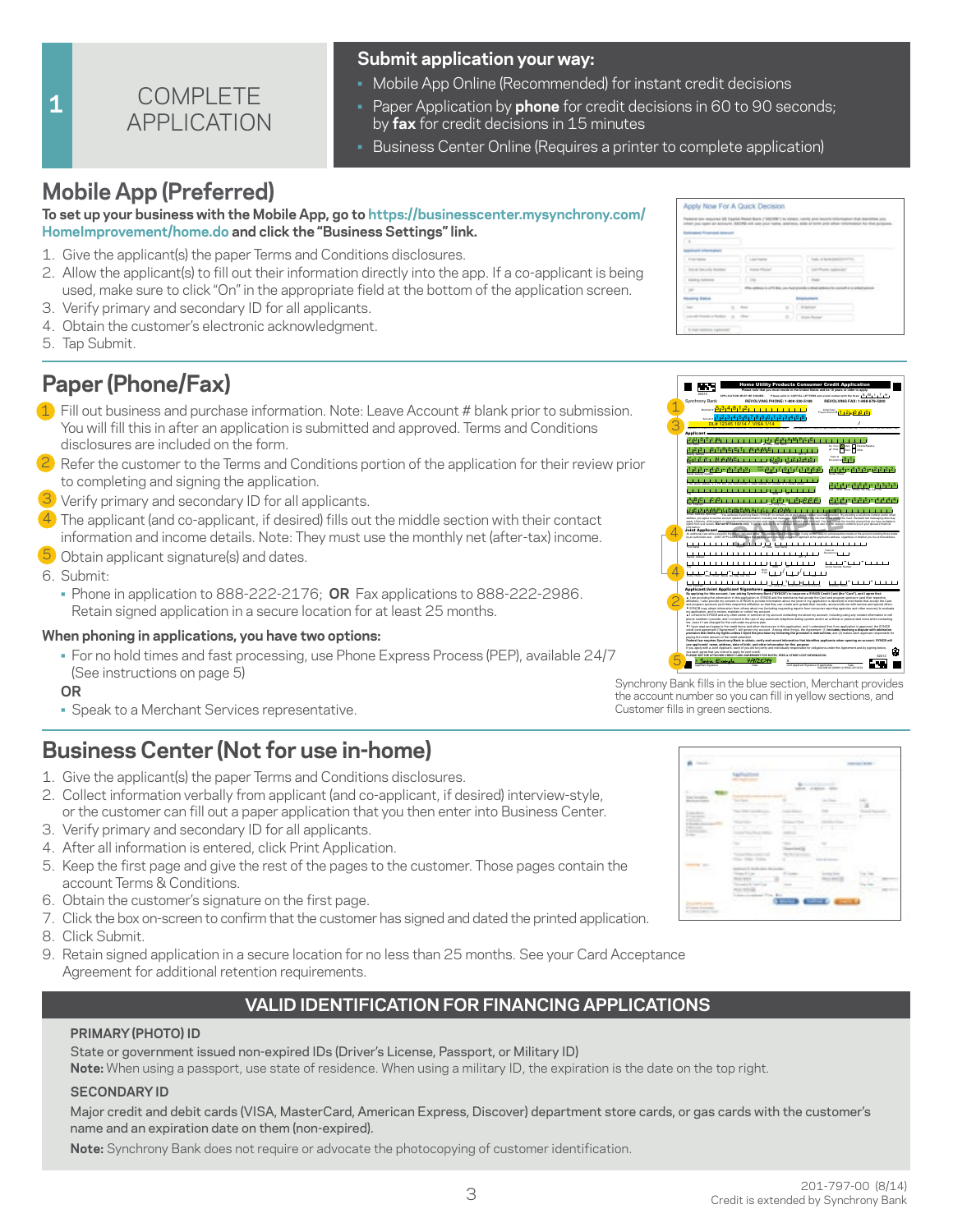

#### **Submit application your way:**

- Mobile App Online (Recommended) for instant credit decisions
- Paper Application by **phone** for credit decisions in 60 to 90 seconds; by **fax** for credit decisions in 15 minutes
- **Business Center Online (Requires a printer to complete application)**

# **Mobile App (Preferred)**

#### **To set up your business with the Mobile App, go to https://businesscenter.mysynchrony.com/ HomeImprovement/home.do and click the "Business Settings" link.**

- 1. Give the applicant(s) the paper Terms and Conditions disclosures.
- 2. Allow the applicant(s) to fill out their information directly into the app. If a co-applicant is being used, make sure to click "On" in the appropriate field at the bottom of the application screen.
- 3. Verify primary and secondary ID for all applicants.
- 4. Obtain the customer's electronic acknowledgment.
- 5. Tap Submit.

**1**

# **Paper (Phone/Fax)**

- 1) Fill out business and purchase information. Note: Leave Account # blank prior to submission. You will fill this in after an application is submitted and approved. Terms and Conditions disclosures are included on the form.
- $\overline{2}$  Refer the customer to the Terms and Conditions portion of the application for their review prior to completing and signing the application.
- 3 Verify primary and secondary ID for all applicants.
- $4$ ) The applicant (and co-applicant, if desired) fills out the middle section with their contact information and income details. Note: They must use the monthly net (after-tax) income.
- 5 Obtain applicant signature(s) and dates.
- 6. Submit:
	- Phone in application to 888-222-2176; **OR** Fax applications to 888-222-2986. Retain signed application in a secure location for at least 25 months.

#### **When phoning in applications, you have two options:**

- For no hold times and fast processing, use Phone Express Process (PEP), available 24/7 (See instructions on page 5)
- **OR**
- Speak to a Merchant Services representative.

# **Business Center (Not for use in-home)**

- 1. Give the applicant(s) the paper Terms and Conditions disclosures.
- 2. Collect information verbally from applicant (and co-applicant, if desired) interview-style, or the customer can fill out a paper application that you then enter into Business Center.
- 3. Verify primary and secondary ID for all applicants.
- 4. After all information is entered, click Print Application.
- 5. Keep the first page and give the rest of the pages to the customer. Those pages contain the account Terms & Conditions.
- 6. Obtain the customer's signature on the first page.
- 7. Click the box on-screen to confirm that the customer has signed and dated the printed application.
- 8. Click Submit.
- 9. Retain signed application in a secure location for no less than 25 months. See your Card Acceptance Agreement for additional retention requirements.

### **VALID IDENTIFICATION FOR FINANCING APPLICATIONS**

#### **PRIMARY (PHOTO) ID**

State or government issued non-expired IDs (Driver's License, Passport, or Military ID)

**Note:** When using a passport, use state of residence. When using a military ID, the expiration is the date on the top right.

#### **SECONDARY ID**

Major credit and debit cards (VISA, MasterCard, American Express, Discover) department store cards, or gas cards with the customer's name and an expiration date on them (non-expired).

**Note:** Synchrony Bank does not require or advocate the photocopying of customer identification.

|                                   |                    | Pastenet lass respuites. GE Capital Rated Bank ("GEI/RB") to striarc, vacity and racional information that identifies you<br>when you spen as account. DECRE will can your name, address, date of look and uthan information for this purpose |
|-----------------------------------|--------------------|-----------------------------------------------------------------------------------------------------------------------------------------------------------------------------------------------------------------------------------------------|
| <b>Batimated Programs Amount</b>  |                    |                                                                                                                                                                                                                                               |
| ٠                                 |                    |                                                                                                                                                                                                                                               |
| Applicant intuination             |                    |                                                                                                                                                                                                                                               |
| First lights                      | Link News          | links of incredimentary (two)                                                                                                                                                                                                                 |
| Social Sucurity Number            | <b>Hung Please</b> | Call Phoen Institute?                                                                                                                                                                                                                         |
| Stating Address                   | <b>COL</b>         | <b>START</b>                                                                                                                                                                                                                                  |
| $^{16}$                           |                    | If the additions in a PFC this you must preside a check addition for promotion is certechalogous.                                                                                                                                             |
| Housing Status                    |                    | <b>Employment</b>                                                                                                                                                                                                                             |
| <b>Tour</b><br>٠                  | <b>Date</b>        | Employee                                                                                                                                                                                                                                      |
| Live with Parents or Notable<br>÷ | Died C<br>×.       | <b>Black Phone</b>                                                                                                                                                                                                                            |



Synchrony Bank fills in the blue section, Merchant provides the account number so you can fill in yellow sections, and Customer fills in green sections.

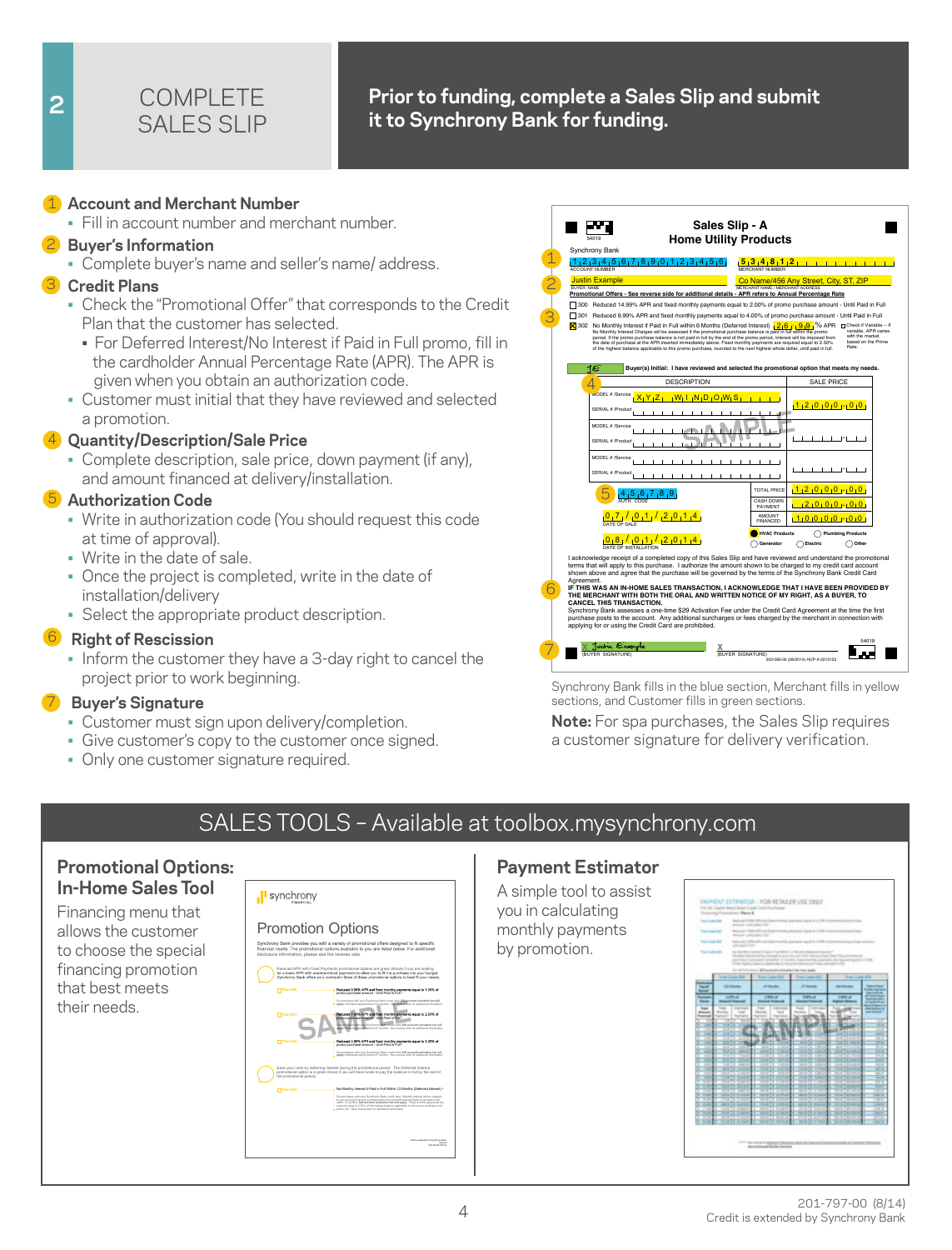

### **2 Prior to funding, complete a Sales Slip and submit it to Synchrony Bank for funding.**

#### 1 **Account and Merchant Number** 1

• Fill in account number and merchant number.

#### 2 **Buyer's Information** 2

• Complete buyer's name and seller's name/ address.

#### 3 **Credit Plans** 3

- Check the "Promotional Offer" that corresponds to the Credit Plan that the customer has selected.
	- For Deferred Interest/No Interest if Paid in Full promo, fill in the cardholder Annual Percentage Rate (APR). The APR is given when you obtain an authorization code.
- Customer must initial that they have reviewed and selected a promotion.

#### 4 **Quantity/Description/Sale Price** 4

• Complete description, sale price, down payment (if any), and amount financed at delivery/installation.

#### 5 **Authorization Code** 5

- Write in authorization code (You should request this code at time of approval).
- Write in the date of sale.
- Once the project is completed, write in the date of installation/delivery
- Select the appropriate product description.

#### 6 **Right of Rescission** 6

• Inform the customer they have a 3-day right to cancel the project prior to work beginning.

#### 7 **Buyer's Signature** 7

- Customer must sign upon delivery/completion.
- Give customer's copy to the customer once signed.
- Only one customer signature required.



Synchrony Bank fills in the blue section, Merchant fills in yellow sections, and Customer fills in green sections.

**Note:** For spa purchases, the Sales Slip requires a customer signature for delivery verification.

# SALES TOOLS – Available at toolbox.mysynchrony.com

#### **Promotional Options: In-Home Sales Tool**

Financing menu that allows the customer to choose the special financing promotion that best meets their needs.

### I synchrony



#### **Payment Estimator**

A simple tool to assist you in calculating monthly payments by promotion.

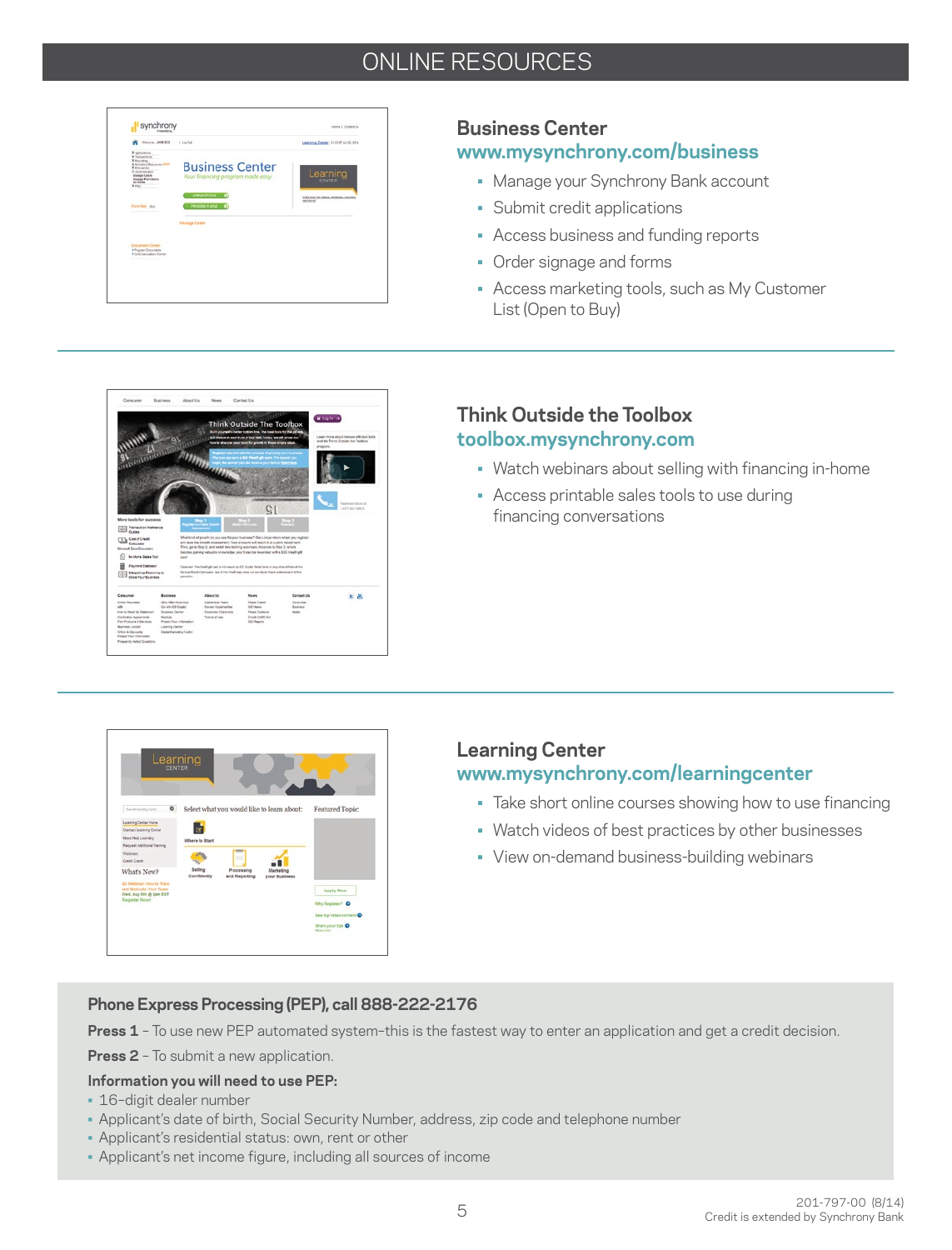# ONLINE RESOURCES

| Weisran, JAMERON<br>×                                                                                                                                                                      | 1 Lug Dall                                                  | Learning Center, E13147 ALTS 1914                                |
|--------------------------------------------------------------------------------------------------------------------------------------------------------------------------------------------|-------------------------------------------------------------|------------------------------------------------------------------|
| A Applications<br>Witness Road<br>* Hatebury Equippene MINT<br>W Managerown<br>If Annivoration<br><b>USAnce Lines</b><br><b><i>Volume Prematers</i></b><br><b>Ch. Philifts</b><br>Withday. | <b>Business Center</b><br>Your financing program made easy. | Learning                                                         |
|                                                                                                                                                                                            | APPLICATIONS 67                                             | Citiz has beeddoos, antiques, contaes,<br>and more than the con- |
| Forcettes, due<br><b>A contract of the lands of the</b>                                                                                                                                    | <b>FROCESS A SPLE 0</b>                                     |                                                                  |
|                                                                                                                                                                                            | <b>Herange Canter</b>                                       |                                                                  |
|                                                                                                                                                                                            |                                                             |                                                                  |
| <b>Dacument Center</b><br><b><i>African Discounts</i></b><br><b>KCommunications Comm</b><br>A Minimization of the Automatic                                                                |                                                             |                                                                  |
|                                                                                                                                                                                            |                                                             |                                                                  |
|                                                                                                                                                                                            |                                                             |                                                                  |

### **Business Center**

### **www.mysynchrony.com/business**

- Manage your Synchrony Bank account
- Submit credit applications
- Access business and funding reports
- Order signage and forms
- Access marketing tools, such as My Customer List (Open to Buy)



### **Think Outside the Toolbox toolbox.mysynchrony.com**

- Watch webinars about selling with financing in-home
- Access printable sales tools to use during financing conversations



# **Learning Center**

### **www.mysynchrony.com/learningcenter**

- Take short online courses showing how to use financing
- Watch videos of best practices by other businesses
- View on-demand business-building webinars

#### **Phone Express Processing (PEP), call 888-222-2176**

**Press 1** – To use new PEP automated system–this is the fastest way to enter an application and get a credit decision.

**Press 2** - To submit a new application.

#### **Information you will need to use PEP:**

- 16–digit dealer number
- Applicant's date of birth, Social Security Number, address, zip code and telephone number
- Applicant's residential status: own, rent or other
- Applicant's net income figure, including all sources of income